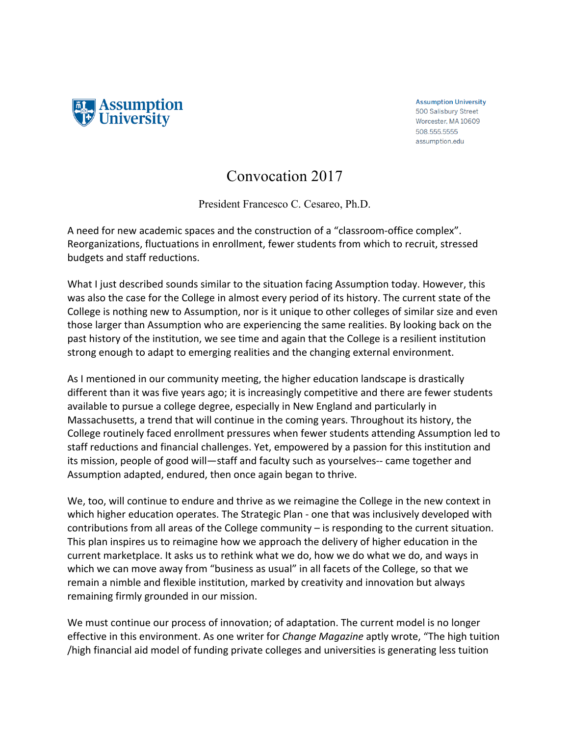

**Assumption University** 500 Salisbury Street Worcester, MA 10609 508.555.5555 assumption.edu

## Convocation 2017

President Francesco C. Cesareo, Ph.D.

A need for new academic spaces and the construction of a "classroom-office complex". Reorganizations, fluctuations in enrollment, fewer students from which to recruit, stressed budgets and staff reductions.

What I just described sounds similar to the situation facing Assumption today. However, this was also the case for the College in almost every period of its history. The current state of the College is nothing new to Assumption, nor is it unique to other colleges of similar size and even those larger than Assumption who are experiencing the same realities. By looking back on the past history of the institution, we see time and again that the College is a resilient institution strong enough to adapt to emerging realities and the changing external environment.

As I mentioned in our community meeting, the higher education landscape is drastically different than it was five years ago; it is increasingly competitive and there are fewer students available to pursue a college degree, especially in New England and particularly in Massachusetts, a trend that will continue in the coming years. Throughout its history, the College routinely faced enrollment pressures when fewer students attending Assumption led to staff reductions and financial challenges. Yet, empowered by a passion for this institution and its mission, people of good will—staff and faculty such as yourselves-- came together and Assumption adapted, endured, then once again began to thrive.

We, too, will continue to endure and thrive as we reimagine the College in the new context in which higher education operates. The Strategic Plan - one that was inclusively developed with contributions from all areas of the College community  $-$  is responding to the current situation. This plan inspires us to reimagine how we approach the delivery of higher education in the current marketplace. It asks us to rethink what we do, how we do what we do, and ways in which we can move away from "business as usual" in all facets of the College, so that we remain a nimble and flexible institution, marked by creativity and innovation but always remaining firmly grounded in our mission.

We must continue our process of innovation; of adaptation. The current model is no longer effective in this environment. As one writer for *Change Magazine* aptly wrote, "The high tuition /high financial aid model of funding private colleges and universities is generating less tuition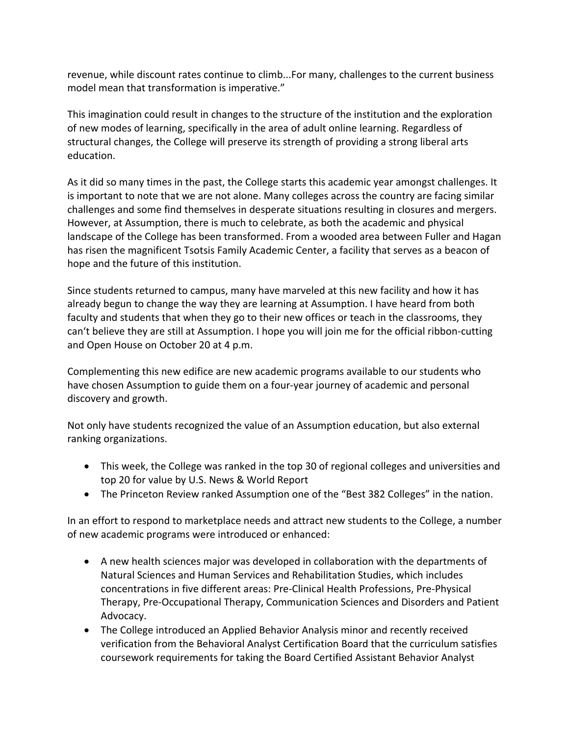revenue, while discount rates continue to climb...For many, challenges to the current business model mean that transformation is imperative."

This imagination could result in changes to the structure of the institution and the exploration of new modes of learning, specifically in the area of adult online learning. Regardless of structural changes, the College will preserve its strength of providing a strong liberal arts education. 

As it did so many times in the past, the College starts this academic year amongst challenges. It is important to note that we are not alone. Many colleges across the country are facing similar challenges and some find themselves in desperate situations resulting in closures and mergers. However, at Assumption, there is much to celebrate, as both the academic and physical landscape of the College has been transformed. From a wooded area between Fuller and Hagan has risen the magnificent Tsotsis Family Academic Center, a facility that serves as a beacon of hope and the future of this institution.

Since students returned to campus, many have marveled at this new facility and how it has already begun to change the way they are learning at Assumption. I have heard from both faculty and students that when they go to their new offices or teach in the classrooms, they can't believe they are still at Assumption. I hope you will join me for the official ribbon-cutting and Open House on October 20 at 4 p.m.

Complementing this new edifice are new academic programs available to our students who have chosen Assumption to guide them on a four-year journey of academic and personal discovery and growth.

Not only have students recognized the value of an Assumption education, but also external ranking organizations.

- This week, the College was ranked in the top 30 of regional colleges and universities and top 20 for value by U.S. News & World Report
- The Princeton Review ranked Assumption one of the "Best 382 Colleges" in the nation.

In an effort to respond to marketplace needs and attract new students to the College, a number of new academic programs were introduced or enhanced:

- A new health sciences major was developed in collaboration with the departments of Natural Sciences and Human Services and Rehabilitation Studies, which includes concentrations in five different areas: Pre-Clinical Health Professions, Pre-Physical Therapy, Pre-Occupational Therapy, Communication Sciences and Disorders and Patient Advocacy.
- The College introduced an Applied Behavior Analysis minor and recently received verification from the Behavioral Analyst Certification Board that the curriculum satisfies coursework requirements for taking the Board Certified Assistant Behavior Analyst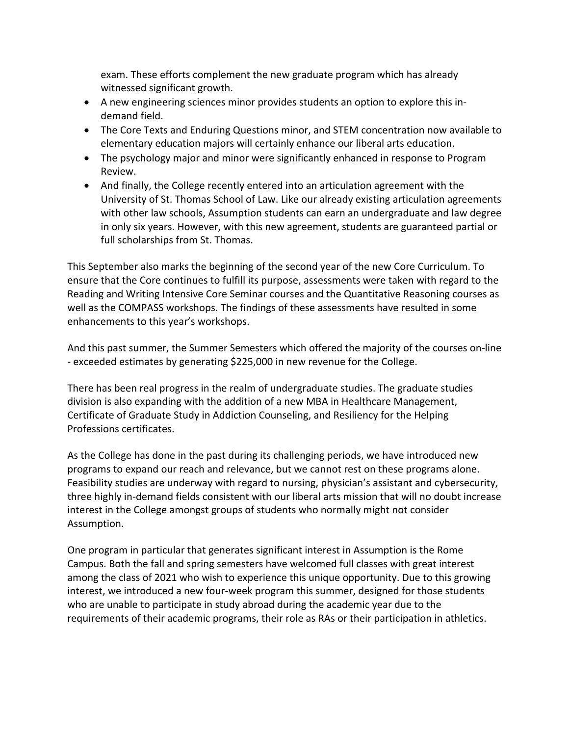exam. These efforts complement the new graduate program which has already witnessed significant growth.

- A new engineering sciences minor provides students an option to explore this indemand field.
- The Core Texts and Enduring Questions minor, and STEM concentration now available to elementary education majors will certainly enhance our liberal arts education.
- The psychology major and minor were significantly enhanced in response to Program Review.
- And finally, the College recently entered into an articulation agreement with the University of St. Thomas School of Law. Like our already existing articulation agreements with other law schools, Assumption students can earn an undergraduate and law degree in only six years. However, with this new agreement, students are guaranteed partial or full scholarships from St. Thomas.

This September also marks the beginning of the second year of the new Core Curriculum. To ensure that the Core continues to fulfill its purpose, assessments were taken with regard to the Reading and Writing Intensive Core Seminar courses and the Quantitative Reasoning courses as well as the COMPASS workshops. The findings of these assessments have resulted in some enhancements to this year's workshops.

And this past summer, the Summer Semesters which offered the majority of the courses on-line - exceeded estimates by generating \$225,000 in new revenue for the College.

There has been real progress in the realm of undergraduate studies. The graduate studies division is also expanding with the addition of a new MBA in Healthcare Management, Certificate of Graduate Study in Addiction Counseling, and Resiliency for the Helping Professions certificates.

As the College has done in the past during its challenging periods, we have introduced new programs to expand our reach and relevance, but we cannot rest on these programs alone. Feasibility studies are underway with regard to nursing, physician's assistant and cybersecurity, three highly in-demand fields consistent with our liberal arts mission that will no doubt increase interest in the College amongst groups of students who normally might not consider Assumption. 

One program in particular that generates significant interest in Assumption is the Rome Campus. Both the fall and spring semesters have welcomed full classes with great interest among the class of 2021 who wish to experience this unique opportunity. Due to this growing interest, we introduced a new four-week program this summer, designed for those students who are unable to participate in study abroad during the academic year due to the requirements of their academic programs, their role as RAs or their participation in athletics.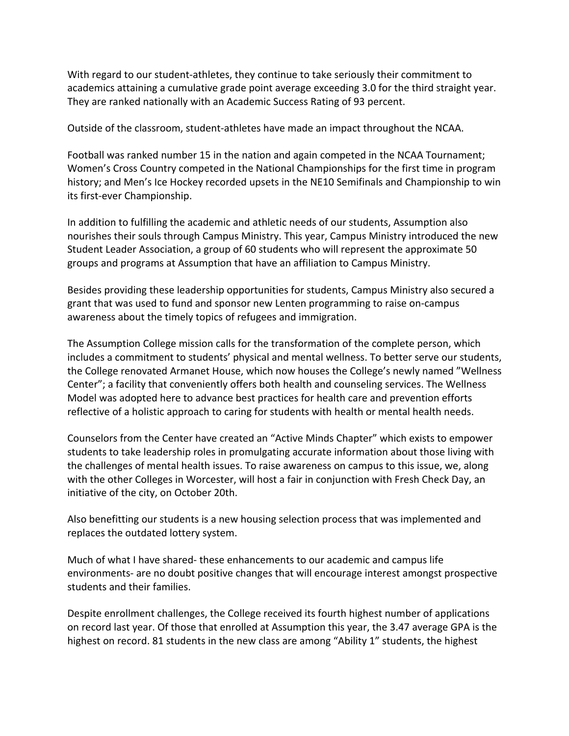With regard to our student-athletes, they continue to take seriously their commitment to academics attaining a cumulative grade point average exceeding 3.0 for the third straight year. They are ranked nationally with an Academic Success Rating of 93 percent.

Outside of the classroom, student-athletes have made an impact throughout the NCAA.

Football was ranked number 15 in the nation and again competed in the NCAA Tournament; Women's Cross Country competed in the National Championships for the first time in program history; and Men's Ice Hockey recorded upsets in the NE10 Semifinals and Championship to win its first-ever Championship.

In addition to fulfilling the academic and athletic needs of our students, Assumption also nourishes their souls through Campus Ministry. This year, Campus Ministry introduced the new Student Leader Association, a group of 60 students who will represent the approximate 50 groups and programs at Assumption that have an affiliation to Campus Ministry.

Besides providing these leadership opportunities for students, Campus Ministry also secured a grant that was used to fund and sponsor new Lenten programming to raise on-campus awareness about the timely topics of refugees and immigration.

The Assumption College mission calls for the transformation of the complete person, which includes a commitment to students' physical and mental wellness. To better serve our students, the College renovated Armanet House, which now houses the College's newly named "Wellness Center": a facility that conveniently offers both health and counseling services. The Wellness Model was adopted here to advance best practices for health care and prevention efforts reflective of a holistic approach to caring for students with health or mental health needs.

Counselors from the Center have created an "Active Minds Chapter" which exists to empower students to take leadership roles in promulgating accurate information about those living with the challenges of mental health issues. To raise awareness on campus to this issue, we, along with the other Colleges in Worcester, will host a fair in conjunction with Fresh Check Day, an initiative of the city, on October 20th.

Also benefitting our students is a new housing selection process that was implemented and replaces the outdated lottery system.

Much of what I have shared- these enhancements to our academic and campus life environments- are no doubt positive changes that will encourage interest amongst prospective students and their families.

Despite enrollment challenges, the College received its fourth highest number of applications on record last year. Of those that enrolled at Assumption this year, the 3.47 average GPA is the highest on record. 81 students in the new class are among "Ability 1" students, the highest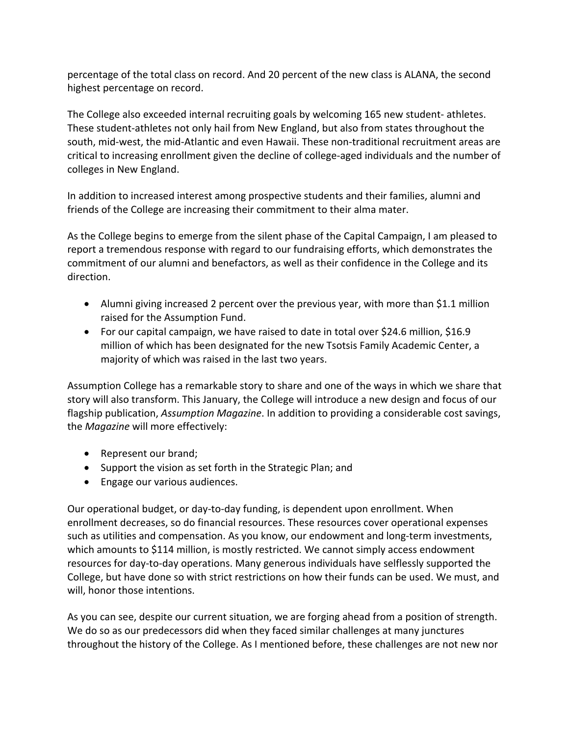percentage of the total class on record. And 20 percent of the new class is ALANA, the second highest percentage on record.

The College also exceeded internal recruiting goals by welcoming 165 new student- athletes. These student-athletes not only hail from New England, but also from states throughout the south, mid-west, the mid-Atlantic and even Hawaii. These non-traditional recruitment areas are critical to increasing enrollment given the decline of college-aged individuals and the number of colleges in New England.

In addition to increased interest among prospective students and their families, alumni and friends of the College are increasing their commitment to their alma mater.

As the College begins to emerge from the silent phase of the Capital Campaign, I am pleased to report a tremendous response with regard to our fundraising efforts, which demonstrates the commitment of our alumni and benefactors, as well as their confidence in the College and its direction. 

- Alumni giving increased 2 percent over the previous year, with more than \$1.1 million raised for the Assumption Fund.
- For our capital campaign, we have raised to date in total over \$24.6 million, \$16.9 million of which has been designated for the new Tsotsis Family Academic Center, a majority of which was raised in the last two years.

Assumption College has a remarkable story to share and one of the ways in which we share that story will also transform. This January, the College will introduce a new design and focus of our flagship publication, *Assumption Magazine*. In addition to providing a considerable cost savings, the *Magazine* will more effectively:

- Represent our brand;
- Support the vision as set forth in the Strategic Plan; and
- Engage our various audiences.

Our operational budget, or day-to-day funding, is dependent upon enrollment. When enrollment decreases, so do financial resources. These resources cover operational expenses such as utilities and compensation. As you know, our endowment and long-term investments, which amounts to \$114 million, is mostly restricted. We cannot simply access endowment resources for day-to-day operations. Many generous individuals have selflessly supported the College, but have done so with strict restrictions on how their funds can be used. We must, and will, honor those intentions.

As you can see, despite our current situation, we are forging ahead from a position of strength. We do so as our predecessors did when they faced similar challenges at many junctures throughout the history of the College. As I mentioned before, these challenges are not new nor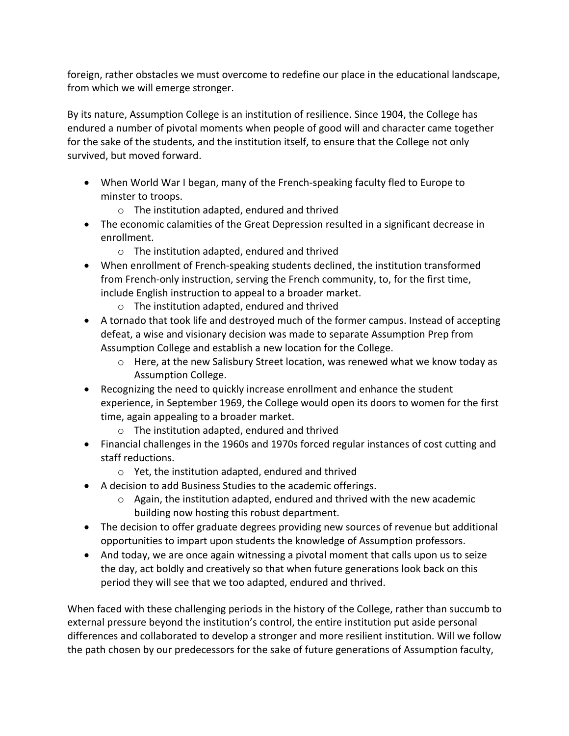foreign, rather obstacles we must overcome to redefine our place in the educational landscape, from which we will emerge stronger.

By its nature, Assumption College is an institution of resilience. Since 1904, the College has endured a number of pivotal moments when people of good will and character came together for the sake of the students, and the institution itself, to ensure that the College not only survived, but moved forward.

- When World War I began, many of the French-speaking faculty fled to Europe to minster to troops.
	- $\circ$  The institution adapted, endured and thrived
- The economic calamities of the Great Depression resulted in a significant decrease in enrollment.
	- $\circ$  The institution adapted, endured and thrived
- When enrollment of French-speaking students declined, the institution transformed from French-only instruction, serving the French community, to, for the first time, include English instruction to appeal to a broader market.
	- $\circ$  The institution adapted, endured and thrived
- A tornado that took life and destroyed much of the former campus. Instead of accepting defeat, a wise and visionary decision was made to separate Assumption Prep from Assumption College and establish a new location for the College.
	- $\circ$  Here, at the new Salisbury Street location, was renewed what we know today as Assumption College.
- Recognizing the need to quickly increase enrollment and enhance the student experience, in September 1969, the College would open its doors to women for the first time, again appealing to a broader market.
	- $\circ$  The institution adapted, endured and thrived
- Financial challenges in the 1960s and 1970s forced regular instances of cost cutting and staff reductions.
	- $\circ$  Yet, the institution adapted, endured and thrived
- A decision to add Business Studies to the academic offerings.
	- $\circ$  Again, the institution adapted, endured and thrived with the new academic building now hosting this robust department.
- The decision to offer graduate degrees providing new sources of revenue but additional opportunities to impart upon students the knowledge of Assumption professors.
- And today, we are once again witnessing a pivotal moment that calls upon us to seize the day, act boldly and creatively so that when future generations look back on this period they will see that we too adapted, endured and thrived.

When faced with these challenging periods in the history of the College, rather than succumb to external pressure beyond the institution's control, the entire institution put aside personal differences and collaborated to develop a stronger and more resilient institution. Will we follow the path chosen by our predecessors for the sake of future generations of Assumption faculty,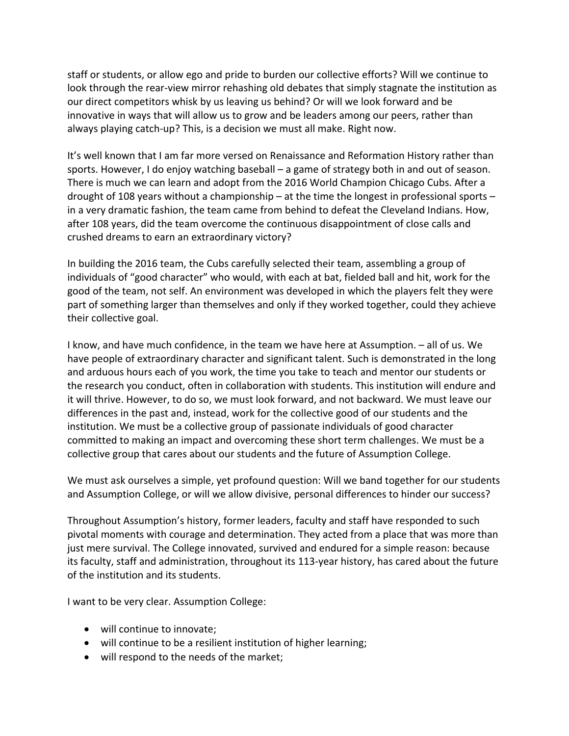staff or students, or allow ego and pride to burden our collective efforts? Will we continue to look through the rear-view mirror rehashing old debates that simply stagnate the institution as our direct competitors whisk by us leaving us behind? Or will we look forward and be innovative in ways that will allow us to grow and be leaders among our peers, rather than always playing catch-up? This, is a decision we must all make. Right now.

It's well known that I am far more versed on Renaissance and Reformation History rather than sports. However, I do enjoy watching baseball  $-$  a game of strategy both in and out of season. There is much we can learn and adopt from the 2016 World Champion Chicago Cubs. After a drought of 108 years without a championship – at the time the longest in professional sports – in a very dramatic fashion, the team came from behind to defeat the Cleveland Indians. How, after 108 years, did the team overcome the continuous disappointment of close calls and crushed dreams to earn an extraordinary victory?

In building the 2016 team, the Cubs carefully selected their team, assembling a group of individuals of "good character" who would, with each at bat, fielded ball and hit, work for the good of the team, not self. An environment was developed in which the players felt they were part of something larger than themselves and only if they worked together, could they achieve their collective goal.

I know, and have much confidence, in the team we have here at Assumption.  $-$  all of us. We have people of extraordinary character and significant talent. Such is demonstrated in the long and arduous hours each of you work, the time you take to teach and mentor our students or the research you conduct, often in collaboration with students. This institution will endure and it will thrive. However, to do so, we must look forward, and not backward. We must leave our differences in the past and, instead, work for the collective good of our students and the institution. We must be a collective group of passionate individuals of good character committed to making an impact and overcoming these short term challenges. We must be a collective group that cares about our students and the future of Assumption College.

We must ask ourselves a simple, yet profound question: Will we band together for our students and Assumption College, or will we allow divisive, personal differences to hinder our success?

Throughout Assumption's history, former leaders, faculty and staff have responded to such pivotal moments with courage and determination. They acted from a place that was more than just mere survival. The College innovated, survived and endured for a simple reason: because its faculty, staff and administration, throughout its 113-year history, has cared about the future of the institution and its students.

I want to be very clear. Assumption College:

- will continue to innovate;
- will continue to be a resilient institution of higher learning;
- will respond to the needs of the market;